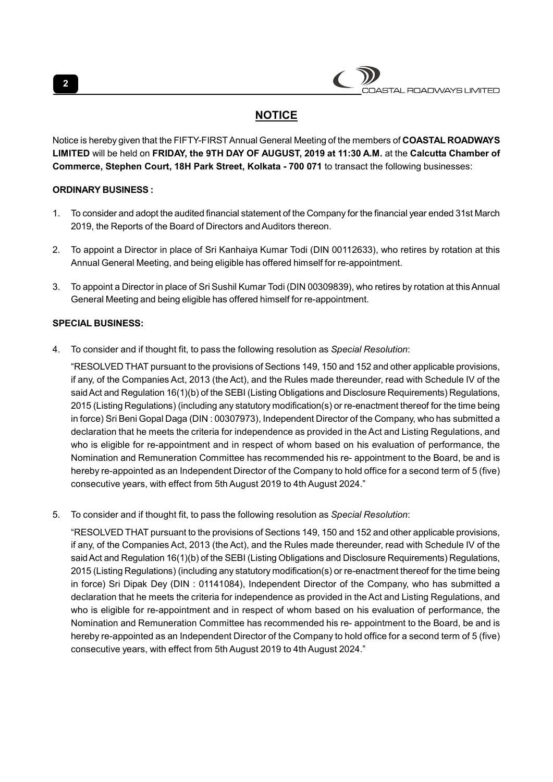| COASTAL ROADWAYS LIMITED |
|--------------------------|
|                          |

# **NOTICE**

Notice is hereby given that the FIFTY-FIRST Annual General Meeting of the members of COASTAL ROADWAYS LIMITED will be held on FRIDAY, the 9TH DAY OF AUGUST, 2019 at 11:30 A.M. at the Calcutta Chamber of Commerce, Stephen Court, 18H Park Street, Kolkata - 700 071 to transact the following businesses:

# ORDINARY BUSINESS :

- 1. To consider and adopt the audited financial statement of the Company for the financial year ended 31st March 2019, the Reports of the Board of Directors and Auditors thereon.
- 2. To appoint a Director in place of Sri Kanhaiya Kumar Todi (DIN 00112633), who retires by rotation at this Annual General Meeting, and being eligible has offered himself for re-appointment.
- 3. To appoint a Director in place of Sri Sushil Kumar Todi (DIN 00309839), who retires by rotation at this Annual General Meeting and being eligible has offered himself for re-appointment.

# SPECIAL BUSINESS:

4. To consider and if thought fit, to pass the following resolution as Special Resolution:

"RESOLVED THAT pursuant to the provisions of Sections 149, 150 and 152 and other applicable provisions, if any, of the Companies Act, 2013 (the Act), and the Rules made thereunder, read with Schedule IV of the said Act and Regulation 16(1)(b) of the SEBI (Listing Obligations and Disclosure Requirements) Regulations, 2015 (Listing Regulations) (including any statutory modification(s) or re-enactment thereof for the time being in force) Sri Beni Gopal Daga (DIN : 00307973), Independent Director of the Company, who has submitted a declaration that he meets the criteria for independence as provided in the Act and Listing Regulations, and who is eligible for re-appointment and in respect of whom based on his evaluation of performance, the Nomination and Remuneration Committee has recommended his re- appointment to the Board, be and is hereby re-appointed as an Independent Director of the Company to hold office for a second term of 5 (five) consecutive years, with effect from 5th August 2019 to 4th August 2024."

5. To consider and if thought fit, to pass the following resolution as Special Resolution:

"RESOLVED THAT pursuant to the provisions of Sections 149, 150 and 152 and other applicable provisions, if any, of the Companies Act, 2013 (the Act), and the Rules made thereunder, read with Schedule IV of the said Act and Regulation 16(1)(b) of the SEBI (Listing Obligations and Disclosure Requirements) Regulations, 2015 (Listing Regulations) (including any statutory modification(s) or re-enactment thereof for the time being in force) Sri Dipak Dey (DIN : 01141084), Independent Director of the Company, who has submitted a declaration that he meets the criteria for independence as provided in the Act and Listing Regulations, and who is eligible for re-appointment and in respect of whom based on his evaluation of performance, the Nomination and Remuneration Committee has recommended his re- appointment to the Board, be and is hereby re-appointed as an Independent Director of the Company to hold office for a second term of 5 (five) consecutive years, with effect from 5th August 2019 to 4th August 2024."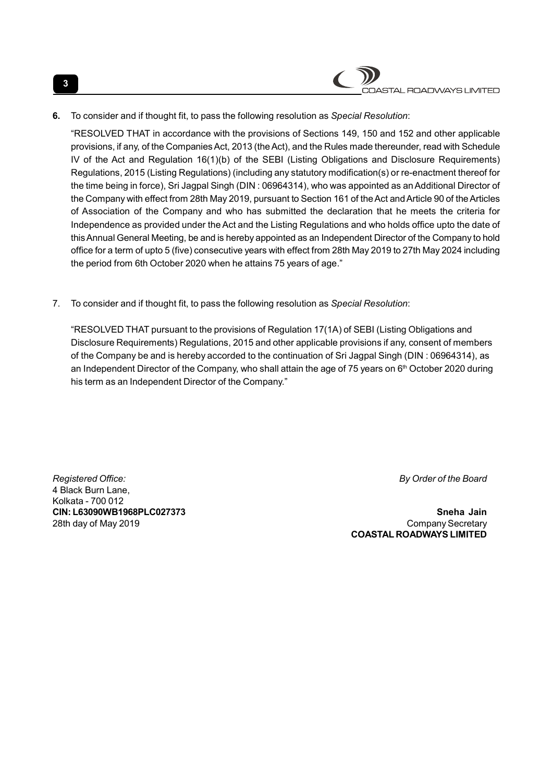

6. To consider and if thought fit, to pass the following resolution as Special Resolution:

"RESOLVED THAT in accordance with the provisions of Sections 149, 150 and 152 and other applicable provisions, if any, of the Companies Act, 2013 (the Act), and the Rules made thereunder, read with Schedule IV of the Act and Regulation 16(1)(b) of the SEBI (Listing Obligations and Disclosure Requirements) Regulations, 2015 (Listing Regulations) (including any statutory modification(s) or re-enactment thereof for the time being in force), Sri Jagpal Singh (DIN : 06964314), who was appointed as an Additional Director of the Company with effect from 28th May 2019, pursuant to Section 161 of the Act and Article 90 of the Articles of Association of the Company and who has submitted the declaration that he meets the criteria for Independence as provided under the Act and the Listing Regulations and who holds office upto the date of this Annual General Meeting, be and is hereby appointed as an Independent Director of the Company to hold office for a term of upto 5 (five) consecutive years with effect from 28th May 2019 to 27th May 2024 including the period from 6th October 2020 when he attains 75 years of age."

7. To consider and if thought fit, to pass the following resolution as Special Resolution:

"RESOLVED THAT pursuant to the provisions of Regulation 17(1A) of SEBI (Listing Obligations and Disclosure Requirements) Regulations, 2015 and other applicable provisions if any, consent of members of the Company be and is hereby accorded to the continuation of Sri Jagpal Singh (DIN : 06964314), as an Independent Director of the Company, who shall attain the age of 75 years on  $6<sup>th</sup>$  October 2020 during his term as an Independent Director of the Company."

Registered Office: **By Order of the Board** 4 Black Burn Lane, Kolkata - 700 012

CIN: L63090WB1968PLC027373 Sneha Jain 28th day of May 2019 Company Secretary COASTAL ROADWAYS LIMITED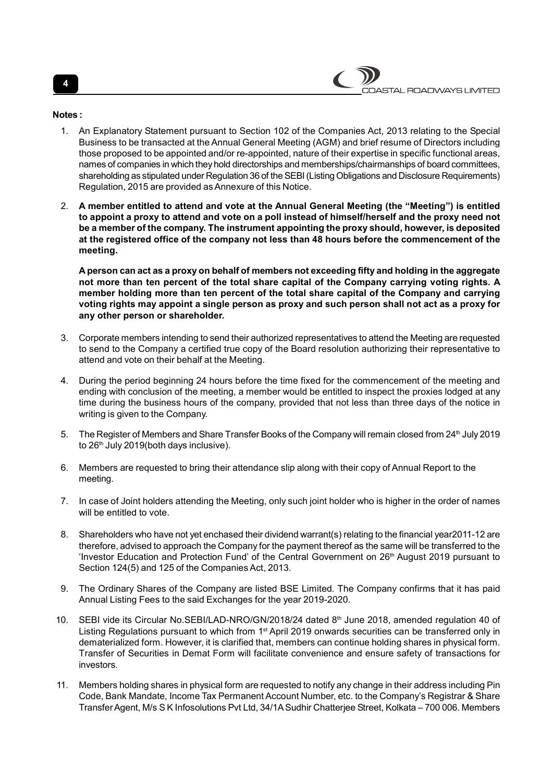Notes :

- 1. An Explanatory Statement pursuant to Section 102 of the Companies Act, 2013 relating to the Special Business to be transacted at the Annual General Meeting (AGM) and brief resume of Directors including those proposed to be appointed and/or re-appointed, nature of their expertise in specific functional areas, names of companies in which they hold directorships and memberships/chairmanships of board committees, shareholding as stipulated under Regulation 36 of the SEBI (Listing Obligations and Disclosure Requirements) Regulation, 2015 are provided as Annexure of this Notice.
- 2. A member entitled to attend and vote at the Annual General Meeting (the "Meeting") is entitled to appoint a proxy to attend and vote on a poll instead of himself/herself and the proxy need not be a member of the company. The instrument appointing the proxy should, however, is deposited at the registered office of the company not less than 48 hours before the commencement of the meeting.

A person can act as a proxy on behalf of members not exceeding fifty and holding in the aggregate not more than ten percent of the total share capital of the Company carrying voting rights. A member holding more than ten percent of the total share capital of the Company and carrying voting rights may appoint a single person as proxy and such person shall not act as a proxy for any other person or shareholder.

- 3. Corporate members intending to send their authorized representatives to attend the Meeting are requested to send to the Company a certified true copy of the Board resolution authorizing their representative to attend and vote on their behalf at the Meeting.
- 4. During the period beginning 24 hours before the time fixed for the commencement of the meeting and ending with conclusion of the meeting, a member would be entitled to inspect the proxies lodged at any time during the business hours of the company, provided that not less than three days of the notice in writing is given to the Company.
- 5. The Register of Members and Share Transfer Books of the Company will remain closed from 24<sup>th</sup> July 2019 to 26<sup>th</sup> July 2019(both days inclusive).
- 6. Members are requested to bring their attendance slip along with their copy of Annual Report to the meeting.
- 7. In case of Joint holders attending the Meeting, only such joint holder who is higher in the order of names will be entitled to vote.
- 8. Shareholders who have not yet enchased their dividend warrant(s) relating to the financial year2011-12 are therefore, advised to approach the Company for the payment thereof as the same will be transferred to the 'Investor Education and Protection Fund' of the Central Government on 26<sup>th</sup> August 2019 pursuant to Section 124(5) and 125 of the Companies Act, 2013.
- 9. The Ordinary Shares of the Company are listed BSE Limited. The Company confirms that it has paid Annual Listing Fees to the said Exchanges for the year 2019-2020.
- 10. SEBI vide its Circular No.SEBI/LAD-NRO/GN/2018/24 dated 8<sup>th</sup> June 2018, amended regulation 40 of Listing Regulations pursuant to which from 1<sup>st</sup> April 2019 onwards securities can be transferred only in dematerialized form. However, it is clarified that, members can continue holding shares in physical form. Transfer of Securities in Demat Form will facilitate convenience and ensure safety of transactions for investors.
- 11. Members holding shares in physical form are requested to notify any change in their address including Pin Code, Bank Mandate, Income Tax Permanent Account Number, etc. to the Company's Registrar & Share Transfer Agent, M/s S K Infosolutions Pvt Ltd, 34/1A Sudhir Chatterjee Street, Kolkata – 700 006. Members

4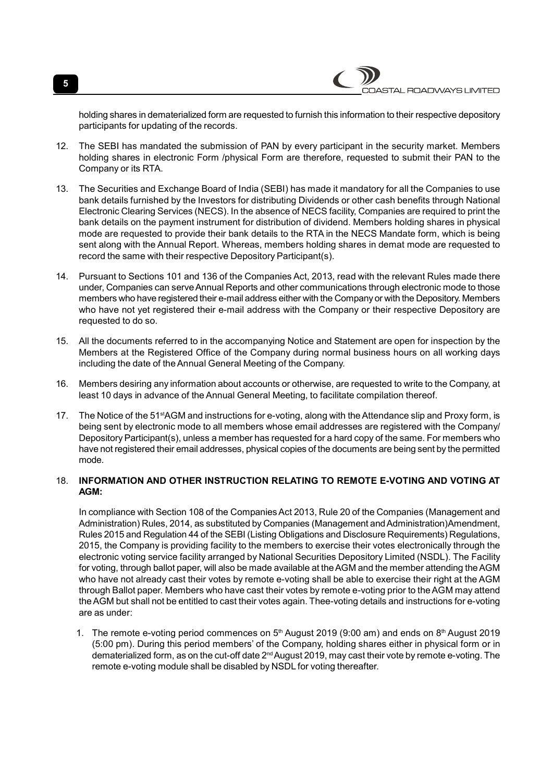STAL ROADWAYS LIMITED

holding shares in dematerialized form are requested to furnish this information to their respective depository participants for updating of the records.

- 12. The SEBI has mandated the submission of PAN by every participant in the security market. Members holding shares in electronic Form /physical Form are therefore, requested to submit their PAN to the Company or its RTA.
- 13. The Securities and Exchange Board of India (SEBI) has made it mandatory for all the Companies to use bank details furnished by the Investors for distributing Dividends or other cash benefits through National Electronic Clearing Services (NECS). In the absence of NECS facility, Companies are required to print the bank details on the payment instrument for distribution of dividend. Members holding shares in physical mode are requested to provide their bank details to the RTA in the NECS Mandate form, which is being sent along with the Annual Report. Whereas, members holding shares in demat mode are requested to record the same with their respective Depository Participant(s).
- 14. Pursuant to Sections 101 and 136 of the Companies Act, 2013, read with the relevant Rules made there under, Companies can serve Annual Reports and other communications through electronic mode to those members who have registered their e-mail address either with the Company or with the Depository. Members who have not yet registered their e-mail address with the Company or their respective Depository are requested to do so.
- 15. All the documents referred to in the accompanying Notice and Statement are open for inspection by the Members at the Registered Office of the Company during normal business hours on all working days including the date of the Annual General Meeting of the Company.
- 16. Members desiring any information about accounts or otherwise, are requested to write to the Company, at least 10 days in advance of the Annual General Meeting, to facilitate compilation thereof.
- 17. The Notice of the 51<sup>st</sup>AGM and instructions for e-voting, along with the Attendance slip and Proxy form, is being sent by electronic mode to all members whose email addresses are registered with the Company/ Depository Participant(s), unless a member has requested for a hard copy of the same. For members who have not registered their email addresses, physical copies of the documents are being sent by the permitted mode.

#### 18. INFORMATION AND OTHER INSTRUCTION RELATING TO REMOTE E-VOTING AND VOTING AT AGM:

In compliance with Section 108 of the Companies Act 2013, Rule 20 of the Companies (Management and Administration) Rules, 2014, as substituted by Companies (Management and Administration)Amendment, Rules 2015 and Regulation 44 of the SEBI (Listing Obligations and Disclosure Requirements) Regulations, 2015, the Company is providing facility to the members to exercise their votes electronically through the electronic voting service facility arranged by National Securities Depository Limited (NSDL). The Facility for voting, through ballot paper, will also be made available at the AGM and the member attending the AGM who have not already cast their votes by remote e-voting shall be able to exercise their right at the AGM through Ballot paper. Members who have cast their votes by remote e-voting prior to the AGM may attend the AGM but shall not be entitled to cast their votes again. Thee-voting details and instructions for e-voting are as under:

1. The remote e-voting period commences on  $5<sup>th</sup>$  August 2019 (9:00 am) and ends on  $8<sup>th</sup>$  August 2019 (5:00 pm). During this period members' of the Company, holding shares either in physical form or in dematerialized form, as on the cut-off date 2nd August 2019, may cast their vote by remote e-voting. The remote e-voting module shall be disabled by NSDL for voting thereafter.

5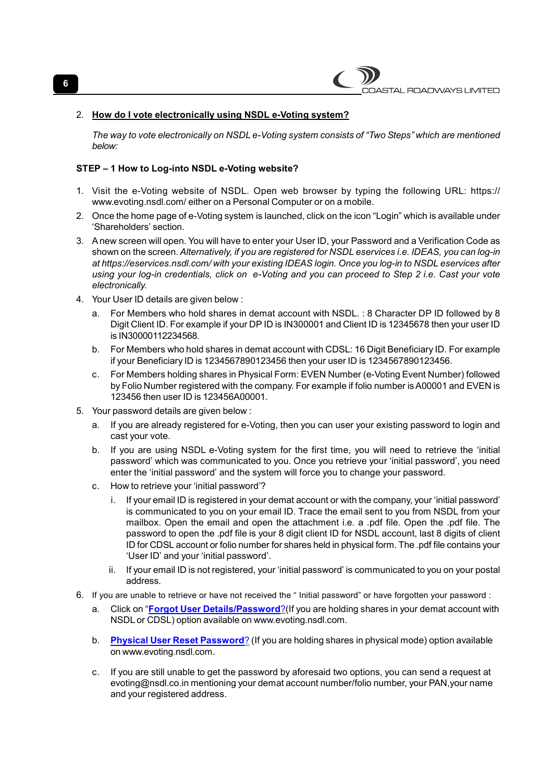

### 2. How do I vote electronically using NSDL e-Voting system?

The way to vote electronically on NSDL e-Voting system consists of "Two Steps" which are mentioned below:

#### STEP – 1 How to Log-into NSDL e-Voting website?

- 1. Visit the e-Voting website of NSDL. Open web browser by typing the following URL: https:// www.evoting.nsdl.com/ either on a Personal Computer or on a mobile.
- 2. Once the home page of e-Voting system is launched, click on the icon "Login" which is available under 'Shareholders' section.
- 3. A new screen will open. You will have to enter your User ID, your Password and a Verification Code as shown on the screen. Alternatively, if you are registered for NSDL eservices i.e. IDEAS, you can log-in at https://eservices.nsdl.com/ with your existing IDEAS login. Once you log-in to NSDL eservices after using your log-in credentials, click on e-Voting and you can proceed to Step 2 i.e. Cast your vote electronically.
- 4. Your User ID details are given below :
	- a. For Members who hold shares in demat account with NSDL. : 8 Character DP ID followed by 8 Digit Client ID. For example if your DP ID is IN300001 and Client ID is 12345678 then your user ID is IN30000112234568.
	- b. For Members who hold shares in demat account with CDSL: 16 Digit Beneficiary ID. For example if your Beneficiary ID is 1234567890123456 then your user ID is 1234567890123456.
	- c. For Members holding shares in Physical Form: EVEN Number (e-Voting Event Number) followed by Folio Number registered with the company. For example if folio number is A00001 and EVEN is 123456 then user ID is 123456A00001.
- 5. Your password details are given below :
	- a. If you are already registered for e-Voting, then you can user your existing password to login and cast your vote.
	- b. If you are using NSDL e-Voting system for the first time, you will need to retrieve the 'initial password' which was communicated to you. Once you retrieve your 'initial password', you need enter the 'initial password' and the system will force you to change your password.
	- c. How to retrieve your 'initial password'?
		- i. If your email ID is registered in your demat account or with the company, your 'initial password' is communicated to you on your email ID. Trace the email sent to you from NSDL from your mailbox. Open the email and open the attachment i.e. a .pdf file. Open the .pdf file. The password to open the .pdf file is your 8 digit client ID for NSDL account, last 8 digits of client ID for CDSL account or folio number for shares held in physical form. The .pdf file contains your 'User ID' and your 'initial password'.
		- ii. If your email ID is not registered, your 'initial password' is communicated to you on your postal address.
- 6. If you are unable to retrieve or have not received the " Initial password" or have forgotten your password :
	- a. Click on "Forgot User Details/Password? (If you are holding shares in your demat account with NSDL or CDSL) option available on www.evoting.nsdl.com.
	- b. Physical User Reset Password? (If you are holding shares in physical mode) option available on www.evoting.nsdl.com.
	- c. If you are still unable to get the password by aforesaid two options, you can send a request at evoting@nsdl.co.in mentioning your demat account number/folio number, your PAN,your name and your registered address.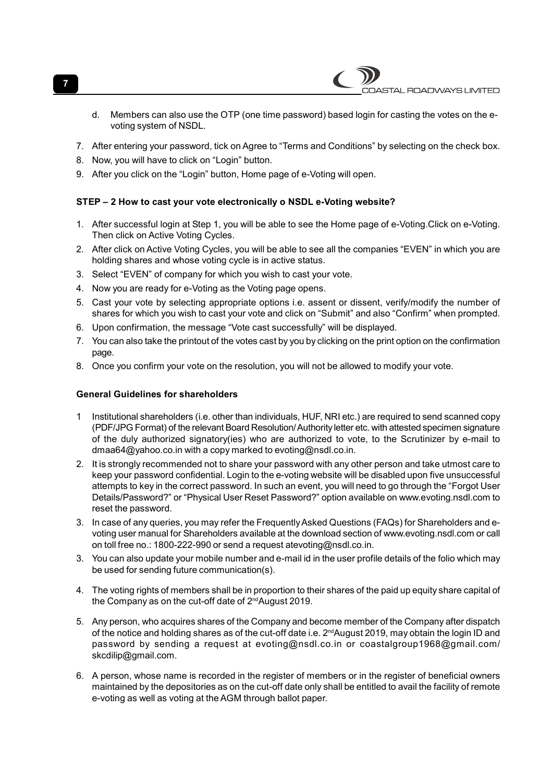d. Members can also use the OTP (one time password) based login for casting the votes on the evoting system of NSDL.

ASTAL ROADWAYS LIMITED

- 7. After entering your password, tick on Agree to "Terms and Conditions" by selecting on the check box.
- 8. Now, you will have to click on "Login" button.
- 9. After you click on the "Login" button, Home page of e-Voting will open.

# STEP – 2 How to cast your vote electronically o NSDL e-Voting website?

- 1. After successful login at Step 1, you will be able to see the Home page of e-Voting.Click on e-Voting. Then click on Active Voting Cycles.
- 2. After click on Active Voting Cycles, you will be able to see all the companies "EVEN" in which you are holding shares and whose voting cycle is in active status.
- 3. Select "EVEN" of company for which you wish to cast your vote.
- 4. Now you are ready for e-Voting as the Voting page opens.
- 5. Cast your vote by selecting appropriate options i.e. assent or dissent, verify/modify the number of shares for which you wish to cast your vote and click on "Submit" and also "Confirm" when prompted.
- 6. Upon confirmation, the message "Vote cast successfully" will be displayed.
- 7. You can also take the printout of the votes cast by you by clicking on the print option on the confirmation page.
- 8. Once you confirm your vote on the resolution, you will not be allowed to modify your vote.

## General Guidelines for shareholders

- 1 Institutional shareholders (i.e. other than individuals, HUF, NRI etc.) are required to send scanned copy (PDF/JPG Format) of the relevant Board Resolution/ Authority letter etc. with attested specimen signature of the duly authorized signatory(ies) who are authorized to vote, to the Scrutinizer by e-mail to dmaa64@yahoo.co.in with a copy marked to evoting@nsdl.co.in.
- 2. It is strongly recommended not to share your password with any other person and take utmost care to keep your password confidential. Login to the e-voting website will be disabled upon five unsuccessful attempts to key in the correct password. In such an event, you will need to go through the "Forgot User Details/Password?" or "Physical User Reset Password?" option available on www.evoting.nsdl.com to reset the password.
- 3. In case of any queries, you may refer the Frequently Asked Questions (FAQs) for Shareholders and evoting user manual for Shareholders available at the download section of www.evoting.nsdl.com or call on toll free no.: 1800-222-990 or send a request atevoting@nsdl.co.in.
- 3. You can also update your mobile number and e-mail id in the user profile details of the folio which may be used for sending future communication(s).
- 4. The voting rights of members shall be in proportion to their shares of the paid up equity share capital of the Company as on the cut-off date of 2<sup>nd</sup>August 2019.
- 5. Any person, who acquires shares of the Company and become member of the Company after dispatch of the notice and holding shares as of the cut-off date i.e.  $2^{nd}$ August 2019, may obtain the login ID and password by sending a request at evoting@nsdl.co.in or coastalgroup1968@gmail.com/ skcdilip@gmail.com.
- 6. A person, whose name is recorded in the register of members or in the register of beneficial owners maintained by the depositories as on the cut-off date only shall be entitled to avail the facility of remote e-voting as well as voting at the AGM through ballot paper.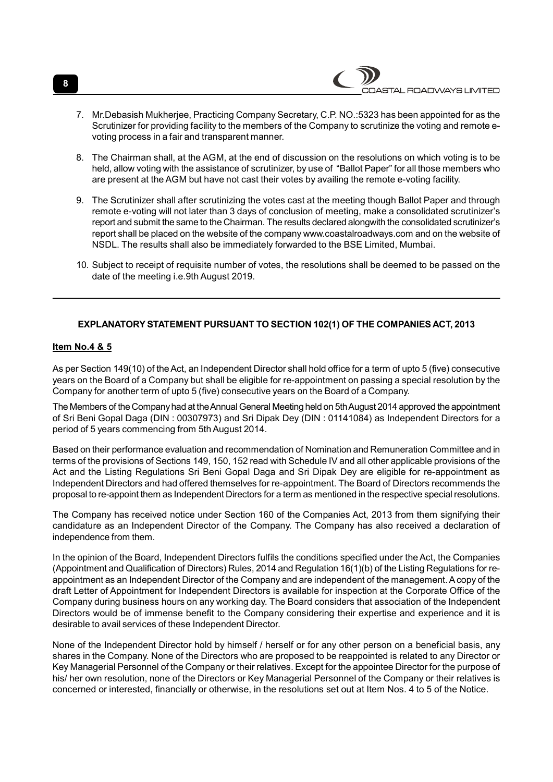- 7. Mr.Debasish Mukherjee, Practicing Company Secretary, C.P. NO.:5323 has been appointed for as the Scrutinizer for providing facility to the members of the Company to scrutinize the voting and remote evoting process in a fair and transparent manner.
- 8. The Chairman shall, at the AGM, at the end of discussion on the resolutions on which voting is to be held, allow voting with the assistance of scrutinizer, by use of "Ballot Paper" for all those members who are present at the AGM but have not cast their votes by availing the remote e-voting facility.
- 9. The Scrutinizer shall after scrutinizing the votes cast at the meeting though Ballot Paper and through remote e-voting will not later than 3 days of conclusion of meeting, make a consolidated scrutinizer's report and submit the same to the Chairman. The results declared alongwith the consolidated scrutinizer's report shall be placed on the website of the company www.coastalroadways.com and on the website of NSDL. The results shall also be immediately forwarded to the BSE Limited, Mumbai.
- 10. Subject to receipt of requisite number of votes, the resolutions shall be deemed to be passed on the date of the meeting i.e.9th August 2019.

# EXPLANATORY STATEMENT PURSUANT TO SECTION 102(1) OF THE COMPANIES ACT, 2013

#### Item No.4 & 5

As per Section 149(10) of the Act, an Independent Director shall hold office for a term of upto 5 (five) consecutive years on the Board of a Company but shall be eligible for re-appointment on passing a special resolution by the Company for another term of upto 5 (five) consecutive years on the Board of a Company.

The Members of the Company had at the Annual General Meeting held on 5th August 2014 approved the appointment of Sri Beni Gopal Daga (DIN : 00307973) and Sri Dipak Dey (DIN : 01141084) as Independent Directors for a period of 5 years commencing from 5th August 2014.

Based on their performance evaluation and recommendation of Nomination and Remuneration Committee and in terms of the provisions of Sections 149, 150, 152 read with Schedule IV and all other applicable provisions of the Act and the Listing Regulations Sri Beni Gopal Daga and Sri Dipak Dey are eligible for re-appointment as Independent Directors and had offered themselves for re-appointment. The Board of Directors recommends the proposal to re-appoint them as Independent Directors for a term as mentioned in the respective special resolutions.

The Company has received notice under Section 160 of the Companies Act, 2013 from them signifying their candidature as an Independent Director of the Company. The Company has also received a declaration of independence from them.

In the opinion of the Board, Independent Directors fulfils the conditions specified under the Act, the Companies (Appointment and Qualification of Directors) Rules, 2014 and Regulation 16(1)(b) of the Listing Regulations for reappointment as an Independent Director of the Company and are independent of the management. A copy of the draft Letter of Appointment for Independent Directors is available for inspection at the Corporate Office of the Company during business hours on any working day. The Board considers that association of the Independent Directors would be of immense benefit to the Company considering their expertise and experience and it is desirable to avail services of these Independent Director.

None of the Independent Director hold by himself / herself or for any other person on a beneficial basis, any shares in the Company. None of the Directors who are proposed to be reappointed is related to any Director or Key Managerial Personnel of the Company or their relatives. Except for the appointee Director for the purpose of his/ her own resolution, none of the Directors or Key Managerial Personnel of the Company or their relatives is concerned or interested, financially or otherwise, in the resolutions set out at Item Nos. 4 to 5 of the Notice.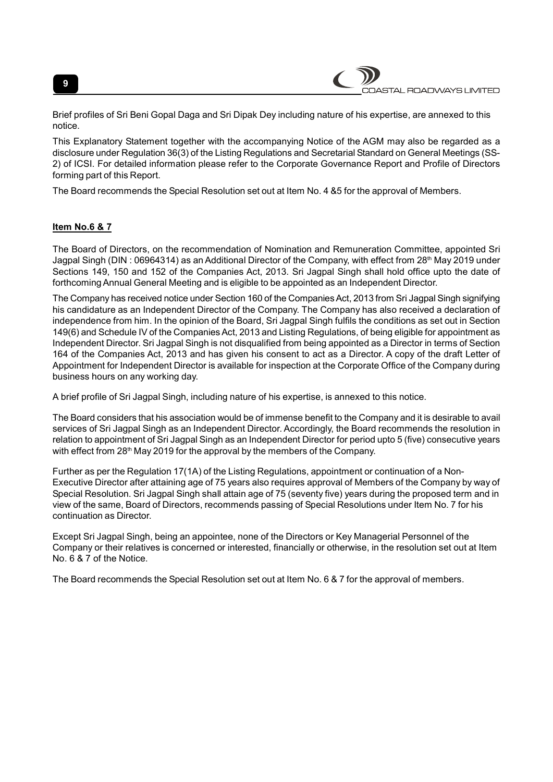



Brief profiles of Sri Beni Gopal Daga and Sri Dipak Dey including nature of his expertise, are annexed to this notice.

This Explanatory Statement together with the accompanying Notice of the AGM may also be regarded as a disclosure under Regulation 36(3) of the Listing Regulations and Secretarial Standard on General Meetings (SS-2) of ICSI. For detailed information please refer to the Corporate Governance Report and Profile of Directors forming part of this Report.

The Board recommends the Special Resolution set out at Item No. 4 &5 for the approval of Members.

## Item No.6 & 7

The Board of Directors, on the recommendation of Nomination and Remuneration Committee, appointed Sri Jagpal Singh (DIN : 06964314) as an Additional Director of the Company, with effect from 28<sup>th</sup> May 2019 under Sections 149, 150 and 152 of the Companies Act, 2013. Sri Jagpal Singh shall hold office upto the date of forthcoming Annual General Meeting and is eligible to be appointed as an Independent Director.

The Company has received notice under Section 160 of the Companies Act, 2013 from Sri Jagpal Singh signifying his candidature as an Independent Director of the Company. The Company has also received a declaration of independence from him. In the opinion of the Board, Sri Jagpal Singh fulfils the conditions as set out in Section 149(6) and Schedule IV of the Companies Act, 2013 and Listing Regulations, of being eligible for appointment as Independent Director. Sri Jagpal Singh is not disqualified from being appointed as a Director in terms of Section 164 of the Companies Act, 2013 and has given his consent to act as a Director. A copy of the draft Letter of Appointment for Independent Director is available for inspection at the Corporate Office of the Company during business hours on any working day.

A brief profile of Sri Jagpal Singh, including nature of his expertise, is annexed to this notice.

The Board considers that his association would be of immense benefit to the Company and it is desirable to avail services of Sri Jagpal Singh as an Independent Director. Accordingly, the Board recommends the resolution in relation to appointment of Sri Jagpal Singh as an Independent Director for period upto 5 (five) consecutive years with effect from  $28<sup>th</sup>$  May 2019 for the approval by the members of the Company.

Further as per the Regulation 17(1A) of the Listing Regulations, appointment or continuation of a Non-Executive Director after attaining age of 75 years also requires approval of Members of the Company by way of Special Resolution. Sri Jagpal Singh shall attain age of 75 (seventy five) years during the proposed term and in view of the same, Board of Directors, recommends passing of Special Resolutions under Item No. 7 for his continuation as Director.

Except Sri Jagpal Singh, being an appointee, none of the Directors or Key Managerial Personnel of the Company or their relatives is concerned or interested, financially or otherwise, in the resolution set out at Item No. 6 & 7 of the Notice.

The Board recommends the Special Resolution set out at Item No. 6 & 7 for the approval of members.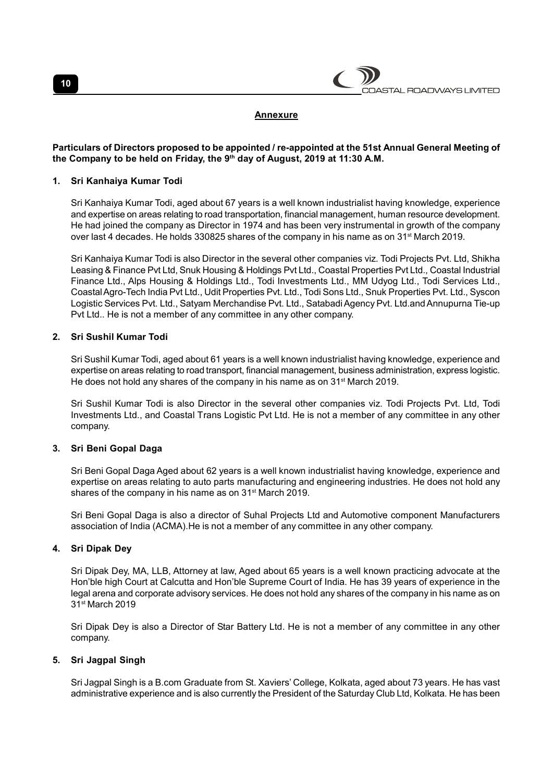

#### Annexure

### Particulars of Directors proposed to be appointed / re-appointed at the 51st Annual General Meeting of the Company to be held on Friday, the 9th day of August, 2019 at 11:30 A.M.

#### 1. Sri Kanhaiya Kumar Todi

Sri Kanhaiya Kumar Todi, aged about 67 years is a well known industrialist having knowledge, experience and expertise on areas relating to road transportation, financial management, human resource development. He had joined the company as Director in 1974 and has been very instrumental in growth of the company over last 4 decades. He holds 330825 shares of the company in his name as on 31st March 2019.

Sri Kanhaiya Kumar Todi is also Director in the several other companies viz. Todi Projects Pvt. Ltd, Shikha Leasing & Finance Pvt Ltd, Snuk Housing & Holdings Pvt Ltd., Coastal Properties Pvt Ltd., Coastal Industrial Finance Ltd., Alps Housing & Holdings Ltd., Todi Investments Ltd., MM Udyog Ltd., Todi Services Ltd., Coastal Agro-Tech India Pvt Ltd., Udit Properties Pvt. Ltd., Todi Sons Ltd., Snuk Properties Pvt. Ltd., Syscon Logistic Services Pvt. Ltd., Satyam Merchandise Pvt. Ltd., Satabadi Agency Pvt. Ltd.and Annupurna Tie-up Pvt Ltd.. He is not a member of any committee in any other company.

#### 2. Sri Sushil Kumar Todi

Sri Sushil Kumar Todi, aged about 61 years is a well known industrialist having knowledge, experience and expertise on areas relating to road transport, financial management, business administration, express logistic. He does not hold any shares of the company in his name as on 31<sup>st</sup> March 2019.

Sri Sushil Kumar Todi is also Director in the several other companies viz. Todi Projects Pvt. Ltd, Todi Investments Ltd., and Coastal Trans Logistic Pvt Ltd. He is not a member of any committee in any other company.

## 3. Sri Beni Gopal Daga

Sri Beni Gopal Daga Aged about 62 years is a well known industrialist having knowledge, experience and expertise on areas relating to auto parts manufacturing and engineering industries. He does not hold any shares of the company in his name as on 31<sup>st</sup> March 2019.

Sri Beni Gopal Daga is also a director of Suhal Projects Ltd and Automotive component Manufacturers association of India (ACMA).He is not a member of any committee in any other company.

#### 4. Sri Dipak Dey

Sri Dipak Dey, MA, LLB, Attorney at law, Aged about 65 years is a well known practicing advocate at the Hon'ble high Court at Calcutta and Hon'ble Supreme Court of India. He has 39 years of experience in the legal arena and corporate advisory services. He does not hold any shares of the company in his name as on 31st March 2019

Sri Dipak Dey is also a Director of Star Battery Ltd. He is not a member of any committee in any other company.

#### 5. Sri Jagpal Singh

Sri Jagpal Singh is a B.com Graduate from St. Xaviers' College, Kolkata, aged about 73 years. He has vast administrative experience and is also currently the President of the Saturday Club Ltd, Kolkata. He has been